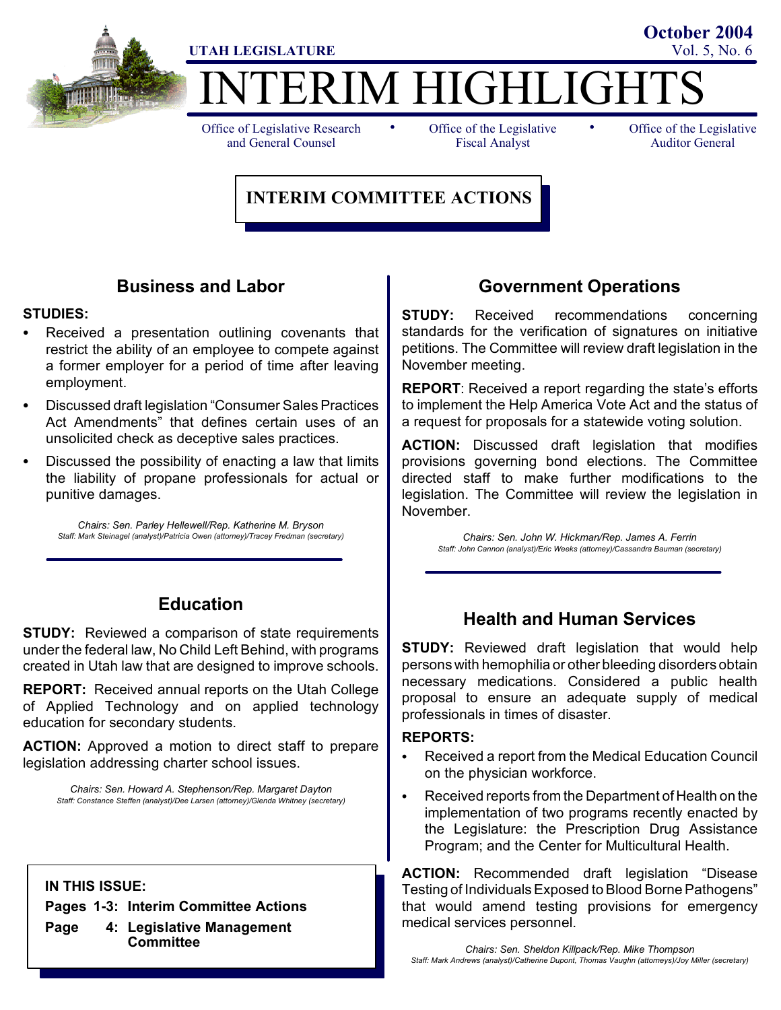

# ERIM HIGHLIGHT **UTAH LEGISLATURE** Vol. 5, No. 6 **October 2004**

Office of Legislative Research and General Counsel

• Office of the Legislative • Fiscal Analyst

Office of the Legislative Auditor General

### **INTERIM COMMITTEE ACTIONS**

### **Business and Labor**

#### **STUDIES:**

- Received a presentation outlining covenants that restrict the ability of an employee to compete against a former employer for a period of time after leaving employment.
- Discussed draft legislation "Consumer Sales Practices" Act Amendments" that defines certain uses of an unsolicited check as deceptive sales practices.
- Discussed the possibility of enacting a law that limits the liability of propane professionals for actual or punitive damages.

*Chairs: Sen. Parley Hellewell/Rep. Katherine M. Bryson Staff: Mark Steinagel (analyst)/Patricia Owen (attorney)/Tracey Fredman (secretary)*

### **Education**

**STUDY:** Reviewed a comparison of state requirements under the federal law, No Child Left Behind, with programs created in Utah law that are designed to improve schools.

**REPORT:** Received annual reports on the Utah College of Applied Technology and on applied technology education for secondary students.

**ACTION:** Approved a motion to direct staff to prepare legislation addressing charter school issues.

*Chairs: Sen. Howard A. Stephenson/Rep. Margaret Dayton Staff: Constance Steffen (analyst)/Dee Larsen (attorney)/Glenda Whitney (secretary)*

**IN THIS ISSUE:**

**Pages 1-3: Interim Committee Actions**

**Page 4: Legislative Management Committee**

### **Government Operations**

**STUDY:** Received recommendations concerning standards for the verification of signatures on initiative petitions. The Committee will review draft legislation in the November meeting.

**REPORT**: Received a report regarding the state's efforts to implement the Help America Vote Act and the status of a request for proposals for a statewide voting solution.

**ACTION:** Discussed draft legislation that modifies provisions governing bond elections. The Committee directed staff to make further modifications to the legislation. The Committee will review the legislation in November.

*Chairs: Sen. John W. Hickman/Rep. James A. Ferrin Staff: John Cannon (analyst)/Eric Weeks (attorney)/Cassandra Bauman (secretary)*

### **Health and Human Services**

**STUDY:** Reviewed draft legislation that would help persons with hemophilia or other bleeding disorders obtain necessary medications. Considered a public health proposal to ensure an adequate supply of medical professionals in times of disaster.

#### **REPORTS:**

- Received a report from the Medical Education Council on the physician workforce.
- Received reports from the Department of Health on the implementation of two programs recently enacted by the Legislature: the Prescription Drug Assistance Program; and the Center for Multicultural Health.

**ACTION:** Recommended draft legislation "Disease Testing of Individuals Exposed to Blood Borne Pathogens" that would amend testing provisions for emergency medical services personnel.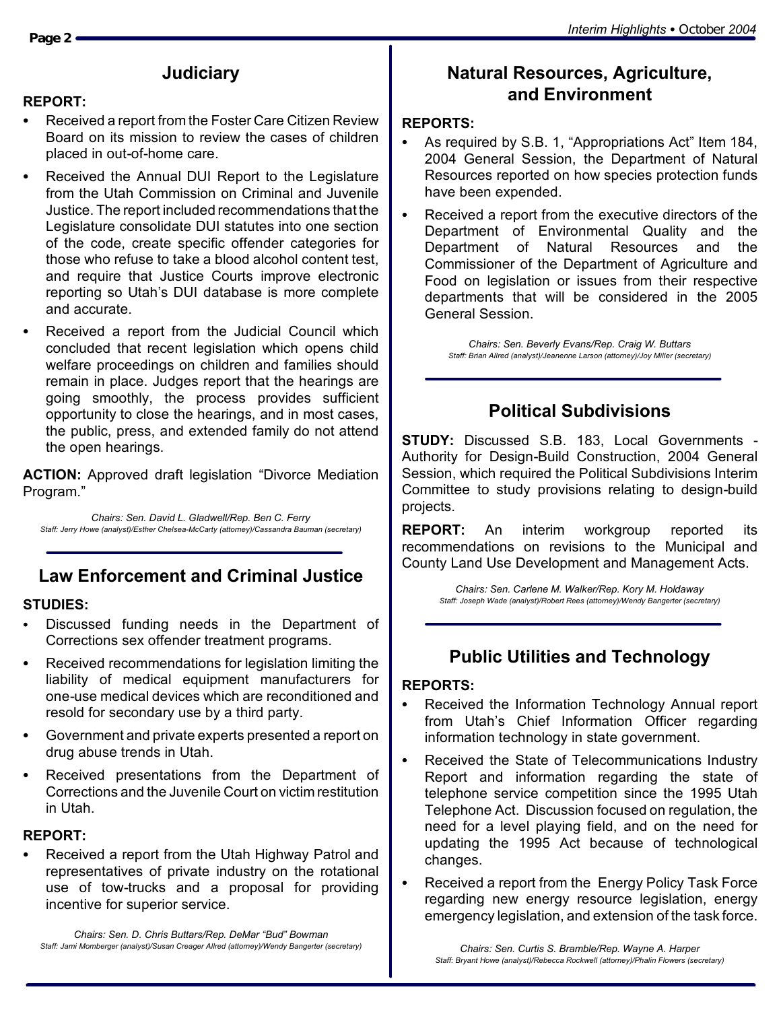### **Judiciary**

### **REPORT:**

- Received a report from the Foster Care Citizen Review Board on its mission to review the cases of children placed in out-of-home care.
- Received the Annual DUI Report to the Legislature from the Utah Commission on Criminal and Juvenile Justice. The report included recommendations that the Legislature consolidate DUI statutes into one section of the code, create specific offender categories for those who refuse to take a blood alcohol content test, and require that Justice Courts improve electronic reporting so Utah's DUI database is more complete and accurate.
- Received a report from the Judicial Council which concluded that recent legislation which opens child welfare proceedings on children and families should remain in place. Judges report that the hearings are going smoothly, the process provides sufficient opportunity to close the hearings, and in most cases, the public, press, and extended family do not attend the open hearings.

**ACTION:** Approved draft legislation "Divorce Mediation Program."

*Chairs: Sen. David L. Gladwell/Rep. Ben C. Ferry Staff: Jerry Howe (analyst)/Esther Chelsea-McCarty (attorney)/Cassandra Bauman (secretary)*

# **Law Enforcement and Criminal Justice**

### **STUDIES:**

- Discussed funding needs in the Department of Corrections sex offender treatment programs.
- Received recommendations for legislation limiting the liability of medical equipment manufacturers for one-use medical devices which are reconditioned and resold for secondary use by a third party.
- S Government and private experts presented a report on drug abuse trends in Utah.
- Received presentations from the Department of Corrections and the Juvenile Court on victim restitution in Utah.

### **REPORT:**

Received a report from the Utah Highway Patrol and representatives of private industry on the rotational use of tow-trucks and a proposal for providing incentive for superior service.

*Chairs: Sen. D. Chris Buttars/Rep. DeMar "Bud" Bowman Staff: Jami Momberger (analyst)/Susan Creager Allred (attorney)/Wendy Bangerter (secretary)*

### **Natural Resources, Agriculture, and Environment**

### **REPORTS:**

- As required by S.B. 1, "Appropriations Act" Item 184, 2004 General Session, the Department of Natural Resources reported on how species protection funds have been expended.
- Received a report from the executive directors of the Department of Environmental Quality and the Department of Natural Resources and the Commissioner of the Department of Agriculture and Food on legislation or issues from their respective departments that will be considered in the 2005 General Session.

*Chairs: Sen. Beverly Evans/Rep. Craig W. Buttars Staff: Brian Allred (analyst)/Jeanenne Larson (attorney)/Joy Miller (secretary)*

### **Political Subdivisions**

**STUDY:** Discussed S.B. 183, Local Governments - Authority for Design-Build Construction, 2004 General Session, which required the Political Subdivisions Interim Committee to study provisions relating to design-build projects.

**REPORT:** An interim workgroup reported its recommendations on revisions to the Municipal and County Land Use Development and Management Acts.

> *Chairs: Sen. Carlene M. Walker/Rep. Kory M. Holdaway Staff: Joseph Wade (analyst)/Robert Rees (attorney)/Wendy Bangerter (secretary)*

### **Public Utilities and Technology**

### **REPORTS:**

- Received the Information Technology Annual report from Utah's Chief Information Officer regarding information technology in state government.
- Received the State of Telecommunications Industry Report and information regarding the state of telephone service competition since the 1995 Utah Telephone Act. Discussion focused on regulation, the need for a level playing field, and on the need for updating the 1995 Act because of technological changes.
- Received a report from the Energy Policy Task Force regarding new energy resource legislation, energy emergency legislation, and extension of the task force.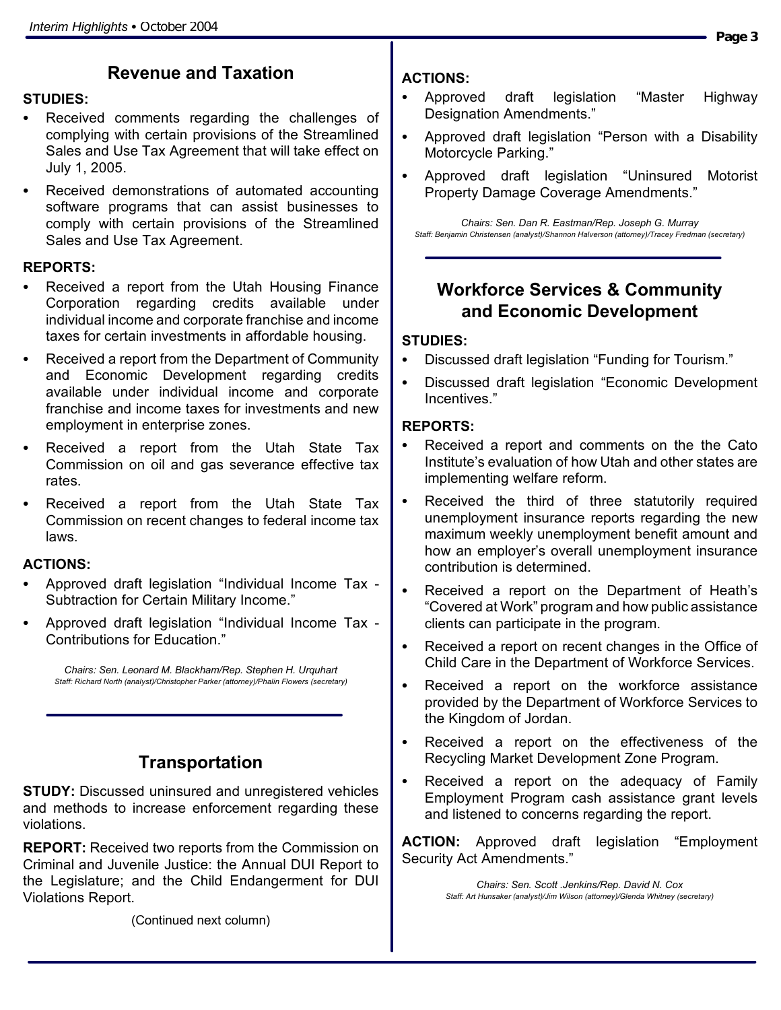## **Revenue and Taxation**

#### **STUDIES:**

- Received comments regarding the challenges of complying with certain provisions of the Streamlined Sales and Use Tax Agreement that will take effect on July 1, 2005.
- Received demonstrations of automated accounting software programs that can assist businesses to comply with certain provisions of the Streamlined Sales and Use Tax Agreement.

#### **REPORTS:**

- Received a report from the Utah Housing Finance Corporation regarding credits available under individual income and corporate franchise and income taxes for certain investments in affordable housing.
- Received a report from the Department of Community and Economic Development regarding credits available under individual income and corporate franchise and income taxes for investments and new employment in enterprise zones.
- Received a report from the Utah State Tax Commission on oil and gas severance effective tax rates.
- Received a report from the Utah State Tax Commission on recent changes to federal income tax laws.

### **ACTIONS:**

- Approved draft legislation "Individual Income Tax -Subtraction for Certain Military Income."
- Approved draft legislation "Individual Income Tax -Contributions for Education."

*Chairs: Sen. Leonard M. Blackham/Rep. Stephen H. Urquhart Staff: Richard North (analyst)/Christopher Parker (attorney)/Phalin Flowers (secretary)*

### **Transportation**

**STUDY:** Discussed uninsured and unregistered vehicles and methods to increase enforcement regarding these violations.

**REPORT:** Received two reports from the Commission on Criminal and Juvenile Justice: the Annual DUI Report to the Legislature; and the Child Endangerment for DUI Violations Report.

(Continued next column)

### **ACTIONS:**

- Approved draft legislation "Master Highway Designation Amendments."
- Approved draft legislation "Person with a Disability Motorcycle Parking."
- Approved draft legislation "Uninsured Motorist Property Damage Coverage Amendments."

*Chairs: Sen. Dan R. Eastman/Rep. Joseph G. Murray Staff: Benjamin Christensen (analyst)/Shannon Halverson (attorney)/Tracey Fredman (secretary)*

### **Workforce Services & Community and Economic Development**

#### **STUDIES:**

- Discussed draft legislation "Funding for Tourism."
- Discussed draft legislation "Economic Development Incentives."

#### **REPORTS:**

- Received a report and comments on the the Cato Institute's evaluation of how Utah and other states are implementing welfare reform.
- Received the third of three statutorily required unemployment insurance reports regarding the new maximum weekly unemployment benefit amount and how an employer's overall unemployment insurance contribution is determined.
- Received a report on the Department of Heath's "Covered at Work" program and how public assistance clients can participate in the program.
- Received a report on recent changes in the Office of Child Care in the Department of Workforce Services.
- Received a report on the workforce assistance provided by the Department of Workforce Services to the Kingdom of Jordan.
- Received a report on the effectiveness of the Recycling Market Development Zone Program.
- Received a report on the adequacy of Family Employment Program cash assistance grant levels and listened to concerns regarding the report.

**ACTION:** Approved draft legislation "Employment Security Act Amendments."

> *Chairs: Sen. Scott .Jenkins/Rep. David N. Cox Staff: Art Hunsaker (analyst)/Jim Wilson (attorney)/Glenda Whitney (secretary)*